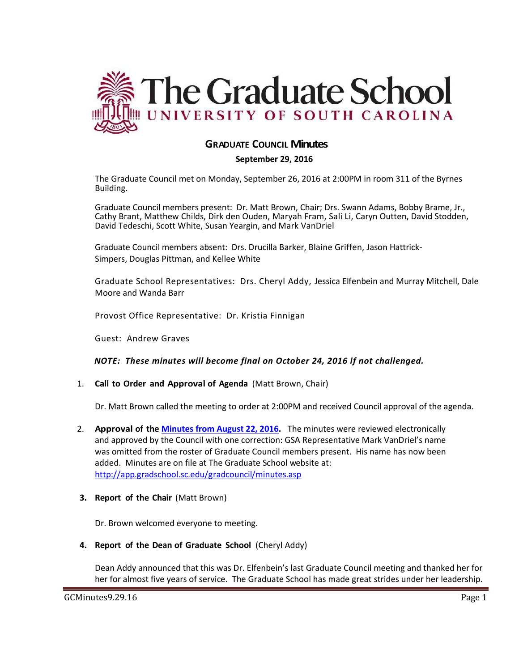

# **GRADUATE COUNCIL Minutes**

## **September 29, 2016**

The Graduate Council met on Monday, September 26, 2016 at 2:00PM in room 311 of the Byrnes Building.

Graduate Council members present: Dr. Matt Brown, Chair; Drs. Swann Adams, Bobby Brame, Jr., Cathy Brant, Matthew Childs, Dirk den Ouden, Maryah Fram, Sali Li, Caryn Outten, David Stodden, David Tedeschi, Scott White, Susan Yeargin, and Mark VanDriel

Graduate Council members absent: Drs. Drucilla Barker, Blaine Griffen, Jason Hattrick-Simpers, Douglas Pittman, and Kellee White

Graduate School Representatives: Drs. Cheryl Addy, Jessica Elfenbein and Murray Mitchell, Dale Moore and Wanda Barr

Provost Office Representative: Dr. Kristia Finnigan

Guest: Andrew Graves

## *NOTE: These minutes will become final on October 24, 2016 if not challenged.*

1. **Call to Order and Approval of Agenda** (Matt Brown, Chair)

Dr. Matt Brown called the meeting to order at 2:00PM and received Council approval of the agenda.

2. **Approval of the [Minutes from August 22, 2016.](http://gradschool.sc.edu/facstaff/gradcouncil/2016/GCMINUTESAUG2016MFM.pdf)** The minutes were reviewed electronically and approved by the Council with one correction: GSA Representative Mark VanDriel's name was omitted from the roster of Graduate Council members present. His name has now been added. Minutes are on file at The Graduate School website at: <http://app.gradschool.sc.edu/gradcouncil/minutes.asp>

## **3. Report of the Chair** (Matt Brown)

Dr. Brown welcomed everyone to meeting.

**4. Report of the Dean of Graduate School** (Cheryl Addy)

Dean Addy announced that this was Dr. Elfenbein's last Graduate Council meeting and thanked her for her for almost five years of service. The Graduate School has made great strides under her leadership.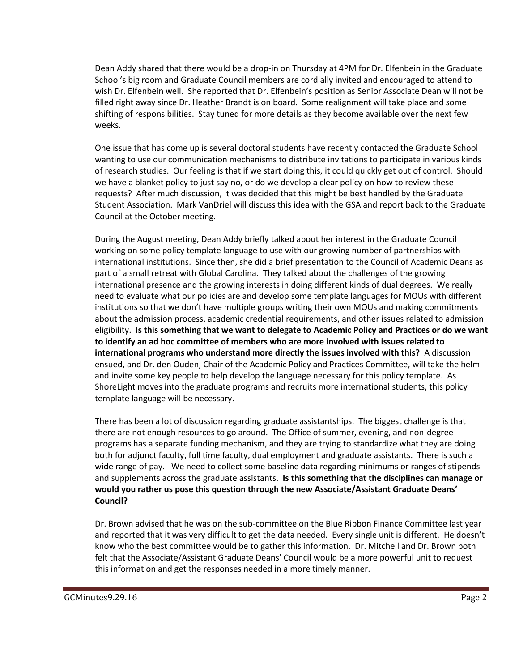Dean Addy shared that there would be a drop-in on Thursday at 4PM for Dr. Elfenbein in the Graduate School's big room and Graduate Council members are cordially invited and encouraged to attend to wish Dr. Elfenbein well. She reported that Dr. Elfenbein's position as Senior Associate Dean will not be filled right away since Dr. Heather Brandt is on board. Some realignment will take place and some shifting of responsibilities. Stay tuned for more details as they become available over the next few weeks.

One issue that has come up is several doctoral students have recently contacted the Graduate School wanting to use our communication mechanisms to distribute invitations to participate in various kinds of research studies. Our feeling is that if we start doing this, it could quickly get out of control. Should we have a blanket policy to just say no, or do we develop a clear policy on how to review these requests? After much discussion, it was decided that this might be best handled by the Graduate Student Association. Mark VanDriel will discuss this idea with the GSA and report back to the Graduate Council at the October meeting.

During the August meeting, Dean Addy briefly talked about her interest in the Graduate Council working on some policy template language to use with our growing number of partnerships with international institutions. Since then, she did a brief presentation to the Council of Academic Deans as part of a small retreat with Global Carolina. They talked about the challenges of the growing international presence and the growing interests in doing different kinds of dual degrees. We really need to evaluate what our policies are and develop some template languages for MOUs with different institutions so that we don't have multiple groups writing their own MOUs and making commitments about the admission process, academic credential requirements, and other issues related to admission eligibility. **Is this something that we want to delegate to Academic Policy and Practices or do we want to identify an ad hoc committee of members who are more involved with issues related to international programs who understand more directly the issues involved with this?** A discussion ensued, and Dr. den Ouden, Chair of the Academic Policy and Practices Committee, will take the helm and invite some key people to help develop the language necessary for this policy template. As ShoreLight moves into the graduate programs and recruits more international students, this policy template language will be necessary.

There has been a lot of discussion regarding graduate assistantships. The biggest challenge is that there are not enough resources to go around. The Office of summer, evening, and non-degree programs has a separate funding mechanism, and they are trying to standardize what they are doing both for adjunct faculty, full time faculty, dual employment and graduate assistants. There is such a wide range of pay. We need to collect some baseline data regarding minimums or ranges of stipends and supplements across the graduate assistants. **Is this something that the disciplines can manage or would you rather us pose this question through the new Associate/Assistant Graduate Deans' Council?**

Dr. Brown advised that he was on the sub-committee on the Blue Ribbon Finance Committee last year and reported that it was very difficult to get the data needed. Every single unit is different. He doesn't know who the best committee would be to gather this information. Dr. Mitchell and Dr. Brown both felt that the Associate/Assistant Graduate Deans' Council would be a more powerful unit to request this information and get the responses needed in a more timely manner.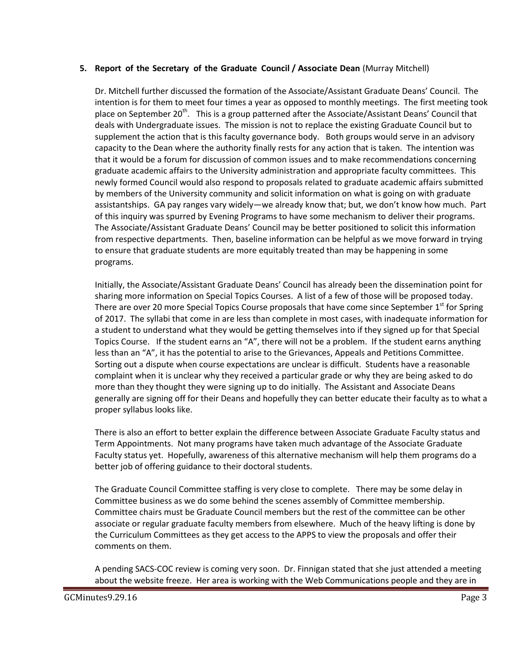## **5. Report of the Secretary of the Graduate Council / Associate Dean** (Murray Mitchell)

Dr. Mitchell further discussed the formation of the Associate/Assistant Graduate Deans' Council. The intention is for them to meet four times a year as opposed to monthly meetings. The first meeting took place on September 20<sup>th</sup>. This is a group patterned after the Associate/Assistant Deans' Council that deals with Undergraduate issues. The mission is not to replace the existing Graduate Council but to supplement the action that is this faculty governance body. Both groups would serve in an advisory capacity to the Dean where the authority finally rests for any action that is taken. The intention was that it would be a forum for discussion of common issues and to make recommendations concerning graduate academic affairs to the University administration and appropriate faculty committees. This newly formed Council would also respond to proposals related to graduate academic affairs submitted by members of the University community and solicit information on what is going on with graduate assistantships. GA pay ranges vary widely—we already know that; but, we don't know how much. Part of this inquiry was spurred by Evening Programs to have some mechanism to deliver their programs. The Associate/Assistant Graduate Deans' Council may be better positioned to solicit this information from respective departments. Then, baseline information can be helpful as we move forward in trying to ensure that graduate students are more equitably treated than may be happening in some programs.

Initially, the Associate/Assistant Graduate Deans' Council has already been the dissemination point for sharing more information on Special Topics Courses. A list of a few of those will be proposed today. There are over 20 more Special Topics Course proposals that have come since September  $1<sup>st</sup>$  for Spring of 2017. The syllabi that come in are less than complete in most cases, with inadequate information for a student to understand what they would be getting themselves into if they signed up for that Special Topics Course. If the student earns an "A", there will not be a problem. If the student earns anything less than an "A", it has the potential to arise to the Grievances, Appeals and Petitions Committee. Sorting out a dispute when course expectations are unclear is difficult. Students have a reasonable complaint when it is unclear why they received a particular grade or why they are being asked to do more than they thought they were signing up to do initially. The Assistant and Associate Deans generally are signing off for their Deans and hopefully they can better educate their faculty as to what a proper syllabus looks like.

There is also an effort to better explain the difference between Associate Graduate Faculty status and Term Appointments. Not many programs have taken much advantage of the Associate Graduate Faculty status yet. Hopefully, awareness of this alternative mechanism will help them programs do a better job of offering guidance to their doctoral students.

The Graduate Council Committee staffing is very close to complete. There may be some delay in Committee business as we do some behind the scenes assembly of Committee membership. Committee chairs must be Graduate Council members but the rest of the committee can be other associate or regular graduate faculty members from elsewhere. Much of the heavy lifting is done by the Curriculum Committees as they get access to the APPS to view the proposals and offer their comments on them.

A pending SACS-COC review is coming very soon. Dr. Finnigan stated that she just attended a meeting about the website freeze. Her area is working with the Web Communications people and they are in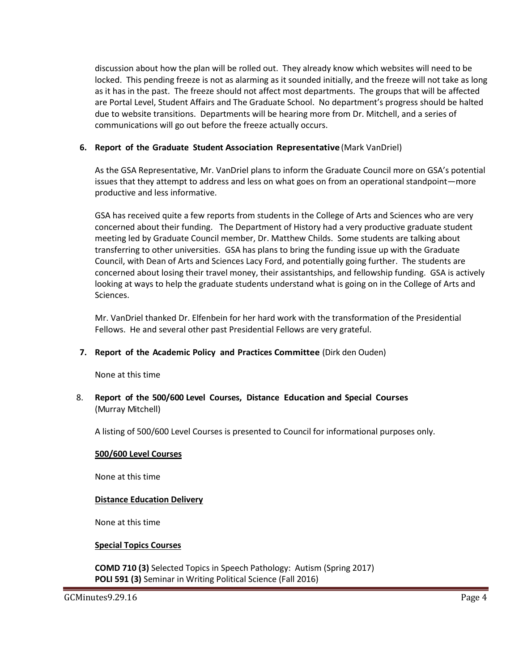discussion about how the plan will be rolled out. They already know which websites will need to be locked. This pending freeze is not as alarming as it sounded initially, and the freeze will not take as long as it has in the past. The freeze should not affect most departments. The groups that will be affected are Portal Level, Student Affairs and The Graduate School. No department's progress should be halted due to website transitions. Departments will be hearing more from Dr. Mitchell, and a series of communications will go out before the freeze actually occurs.

## **6. Report of the Graduate Student Association Representative** (Mark VanDriel)

As the GSA Representative, Mr. VanDriel plans to inform the Graduate Council more on GSA's potential issues that they attempt to address and less on what goes on from an operational standpoint—more productive and less informative.

GSA has received quite a few reports from students in the College of Arts and Sciences who are very concerned about their funding. The Department of History had a very productive graduate student meeting led by Graduate Council member, Dr. Matthew Childs. Some students are talking about transferring to other universities. GSA has plans to bring the funding issue up with the Graduate Council, with Dean of Arts and Sciences Lacy Ford, and potentially going further. The students are concerned about losing their travel money, their assistantships, and fellowship funding. GSA is actively looking at ways to help the graduate students understand what is going on in the College of Arts and Sciences.

Mr. VanDriel thanked Dr. Elfenbein for her hard work with the transformation of the Presidential Fellows. He and several other past Presidential Fellows are very grateful.

## **7. Report of the Academic Policy and Practices Committee** (Dirk den Ouden)

None at this time

8. **Report of the 500/600 Level Courses, Distance Education and Special Courses** (Murray Mitchell)

A listing of 500/600 Level Courses is presented to Council for informational purposes only.

#### **500/600 Level Courses**

None at this time

## **Distance Education Delivery**

None at this time

## **Special Topics Courses**

**COMD 710 (3)** Selected Topics in Speech Pathology: Autism (Spring 2017) **POLI 591 (3)** Seminar in Writing Political Science (Fall 2016)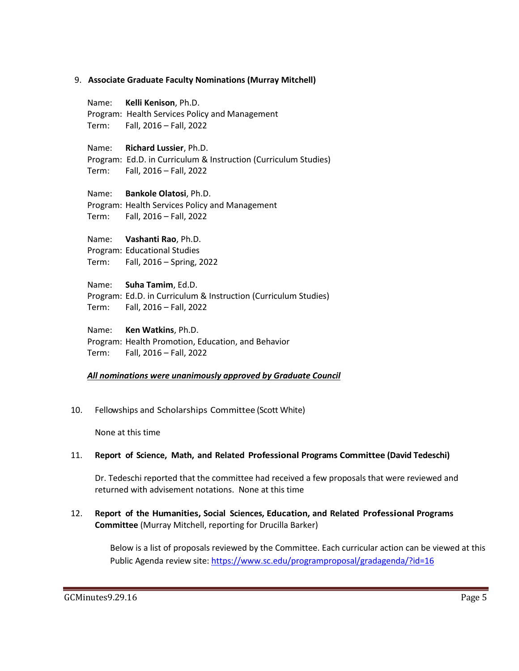#### 9. **Associate Graduate Faculty Nominations (Murray Mitchell)**

Name: **Kelli Kenison**, Ph.D. Program: Health Services Policy and Management Term: Fall, 2016 – Fall, 2022 Name: **Richard Lussier**, Ph.D. Program: Ed.D. in Curriculum & Instruction (Curriculum Studies) Term: Fall, 2016 – Fall, 2022 Name: **Bankole Olatosi**, Ph.D. Program: Health Services Policy and Management Term: Fall, 2016 – Fall, 2022

Name: **Vashanti Rao**, Ph.D. Program: Educational Studies Term: Fall, 2016 – Spring, 2022

Name: **Suha Tamim**, Ed.D. Program: Ed.D. in Curriculum & Instruction (Curriculum Studies) Term: Fall, 2016 – Fall, 2022

#### Name: **Ken Watkins**, Ph.D. Program: Health Promotion, Education, and Behavior

Term: Fall, 2016 – Fall, 2022

# *All nominations were unanimously approved by Graduate Council*

10. Fellowships and Scholarships Committee (Scott White)

None at this time

## 11. **Report of Science, Math, and Related Professional Programs Committee (David Tedeschi)**

Dr. Tedeschi reported that the committee had received a few proposals that were reviewed and returned with advisement notations. None at this time

# 12. **Report of the Humanities, Social Sciences, Education, and Related Professional Programs Committee** (Murray Mitchell, reporting for Drucilla Barker)

Below is a list of proposals reviewed by the Committee. Each curricular action can be viewed at this Public Agenda review site:<https://www.sc.edu/programproposal/gradagenda/?id=16>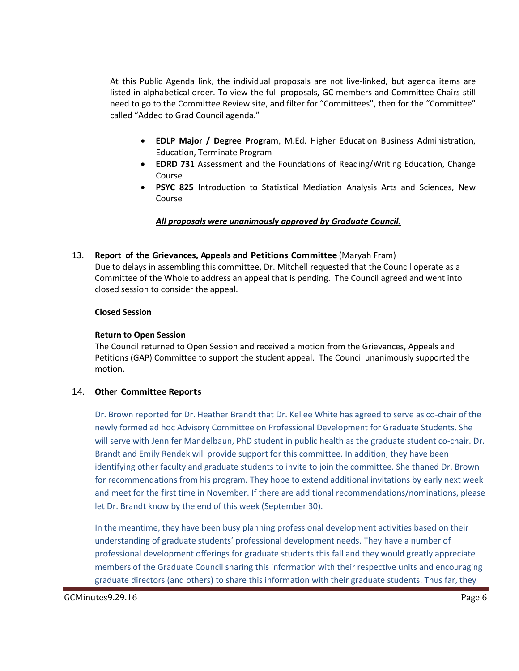At this Public Agenda link, the individual proposals are not live-linked, but agenda items are listed in alphabetical order. To view the full proposals, GC members and Committee Chairs still need to go to the Committee Review site, and filter for "Committees", then for the "Committee" called "Added to Grad Council agenda."

- **EDLP Major / Degree Program**, M.Ed. Higher Education Business Administration, Education, Terminate Program
- **EDRD 731** Assessment and the Foundations of Reading/Writing Education, Change Course
- **PSYC 825** Introduction to Statistical Mediation Analysis Arts and Sciences, New Course

## *All proposals were unanimously approved by Graduate Council.*

## 13. **Report of the Grievances, Appeals and Petitions Committee** (Maryah Fram)

Due to delays in assembling this committee, Dr. Mitchell requested that the Council operate as a Committee of the Whole to address an appeal that is pending. The Council agreed and went into closed session to consider the appeal.

## **Closed Session**

## **Return to Open Session**

The Council returned to Open Session and received a motion from the Grievances, Appeals and Petitions (GAP) Committee to support the student appeal. The Council unanimously supported the motion.

# 14. **Other Committee Reports**

Dr. Brown reported for Dr. Heather Brandt that Dr. Kellee White has agreed to serve as co-chair of the newly formed ad hoc Advisory Committee on Professional Development for Graduate Students. She will serve with Jennifer Mandelbaun, PhD student in public health as the graduate student co-chair. Dr. Brandt and Emily Rendek will provide support for this committee. In addition, they have been identifying other faculty and graduate students to invite to join the committee. She thaned Dr. Brown for recommendations from his program. They hope to extend additional invitations by early next week and meet for the first time in November. If there are additional recommendations/nominations, please let Dr. Brandt know by the end of this week (September 30).

In the meantime, they have been busy planning professional development activities based on their understanding of graduate students' professional development needs. They have a number of professional development offerings for graduate students this fall and they would greatly appreciate members of the Graduate Council sharing this information with their respective units and encouraging graduate directors (and others) to share this information with their graduate students. Thus far, they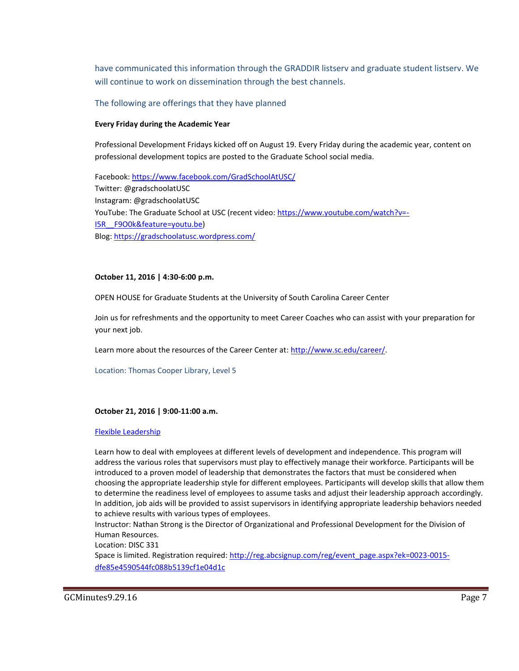have communicated this information through the GRADDIR listserv and graduate student listserv. We will continue to work on dissemination through the best channels.

The following are offerings that they have planned

#### **Every Friday during the Academic Year**

Professional Development Fridays kicked off on August 19. Every Friday during the academic year, content on professional development topics are posted to the Graduate School social media.

Facebook:<https://www.facebook.com/GradSchoolAtUSC/> Twitter: @gradschoolatUSC Instagram: @gradschoolatUSC YouTube: The Graduate School at USC (recent video: [https://www.youtube.com/watch?v=-](https://www.youtube.com/watch?v=-I5R__F9O0k&feature=youtu.be) [I5R\\_\\_F9O0k&feature=youtu.be\)](https://www.youtube.com/watch?v=-I5R__F9O0k&feature=youtu.be) Blog[: https://gradschoolatusc.wordpress.com/](https://gradschoolatusc.wordpress.com/)

#### **October 11, 2016 | 4:30-6:00 p.m.**

OPEN HOUSE for Graduate Students at the University of South Carolina Career Center

Join us for refreshments and the opportunity to meet Career Coaches who can assist with your preparation for your next job.

Learn more about the resources of the Career Center at: [http://www.sc.edu/career/.](http://www.sc.edu/career/)

Location: Thomas Cooper Library, Level 5

#### **October 21, 2016 | 9:00-11:00 a.m.**

#### [Flexible Leadership](http://reg.abcsignup.com/reg/event_page.aspx?ek=0023-0015-dfe85e4590544fc088b5139cf1e04d1c)

Learn how to deal with employees at different levels of development and independence. This program will address the various roles that supervisors must play to effectively manage their workforce. Participants will be introduced to a proven model of leadership that demonstrates the factors that must be considered when choosing the appropriate leadership style for different employees. Participants will develop skills that allow them to determine the readiness level of employees to assume tasks and adjust their leadership approach accordingly. In addition, job aids will be provided to assist supervisors in identifying appropriate leadership behaviors needed to achieve results with various types of employees.

Instructor: Nathan Strong is the Director of Organizational and Professional Development for the Division of Human Resources.

Location: DISC 331

Space is limited. Registration required: [http://reg.abcsignup.com/reg/event\\_page.aspx?ek=0023-0015](http://reg.abcsignup.com/reg/event_page.aspx?ek=0023-0015-dfe85e4590544fc088b5139cf1e04d1c) [dfe85e4590544fc088b5139cf1e04d1c](http://reg.abcsignup.com/reg/event_page.aspx?ek=0023-0015-dfe85e4590544fc088b5139cf1e04d1c)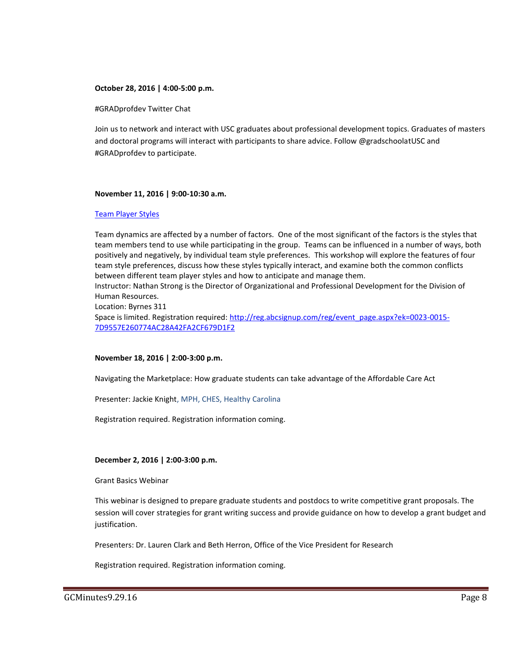#### **October 28, 2016 | 4:00-5:00 p.m.**

#GRADprofdev Twitter Chat

Join us to network and interact with USC graduates about professional development topics. Graduates of masters and doctoral programs will interact with participants to share advice. Follow @gradschoolatUSC and #GRADprofdev to participate.

#### **November 11, 2016 | 9:00-10:30 a.m.**

#### [Team Player Styles](http://reg.abcsignup.com/reg/event_page.aspx?ek=0023-0015-7D9557E260774AC28A42FA2CF679D1F2)

Team dynamics are affected by a number of factors. One of the most significant of the factors is the styles that team members tend to use while participating in the group. Teams can be influenced in a number of ways, both positively and negatively, by individual team style preferences. This workshop will explore the features of four team style preferences, discuss how these styles typically interact, and examine both the common conflicts between different team player styles and how to anticipate and manage them.

Instructor: Nathan Strong is the Director of Organizational and Professional Development for the Division of Human Resources.

Location: Byrnes 311

Space is limited. Registration required: [http://reg.abcsignup.com/reg/event\\_page.aspx?ek=0023-0015-](http://reg.abcsignup.com/reg/event_page.aspx?ek=0023-0015-7D9557E260774AC28A42FA2CF679D1F2) [7D9557E260774AC28A42FA2CF679D1F2](http://reg.abcsignup.com/reg/event_page.aspx?ek=0023-0015-7D9557E260774AC28A42FA2CF679D1F2)

#### **November 18, 2016 | 2:00-3:00 p.m.**

Navigating the Marketplace: How graduate students can take advantage of the Affordable Care Act

Presenter: Jackie Knight, MPH, CHES, Healthy Carolina

Registration required. Registration information coming.

#### **December 2, 2016 | 2:00-3:00 p.m.**

Grant Basics Webinar

This webinar is designed to prepare graduate students and postdocs to write competitive grant proposals. The session will cover strategies for grant writing success and provide guidance on how to develop a grant budget and justification.

Presenters: Dr. Lauren Clark and Beth Herron, Office of the Vice President for Research

Registration required. Registration information coming.